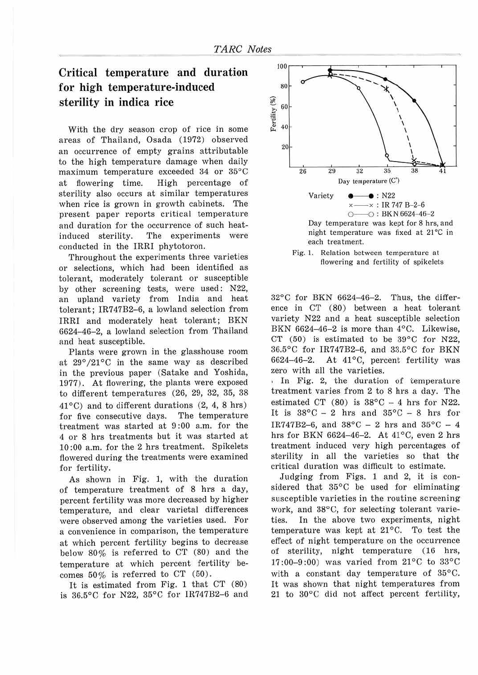## **Critical temperature and duration for high temperature-induced sterility in indica rice**

With the dry season crop of rice in some areas of Thailand, Osada (1972) observed an occurrence of empty grains attributable to the high temperature damage when daily maximum temperature exceeded 34 or 35°C at flowering time. High percentage of sterility also occurs at similar temperatures when rice is grown in growth cabinets. The present paper reports critical temperature and duration for the occurrence of such heatinduced sterility. The experiments were conducted in the IRR! phytotoron.

Throughout the experiments three varieties or selections, which had been identified as tolerant, moderately tolerant or susceptible by other screening tests, were used: N22, an upland variety from India and heat tolerant; IR747B2-6, a lowland selection from IRRI and moderately heat tolerant; BKN 6624-46-2, a lowland selection from Thailand and heat susceptible.

Plants were grown in the glasshouse room at  $29^{\circ}/21^{\circ}$ C in the same way as described in the previous paper (Satake and Yoshida, 1977). At flowering, the plants were exposed to different temperatures (26, 29, 32, 35, 38  $41^{\circ}$ C) and to different durations (2, 4, 8 hrs) for five consecutive days. The temperature treatment was started at 9 :00 a.m. for the 4 or 8 hrs treatments but it was started at 10 :00 a.m. for the 2 hrs treatment. Spikelets flowered during the treatments were examined for fertility.

As shown in Fig. 1, with the duration of temperature treatment of 8 hrs a day, percent fertility was more decreased by higher temperature, and clear varietal differences were observed among the varieties used. For a convenience in comparison, the temperature at which percent fertility begins to decrease below 80% is referred to CT (80) and the temperature at which percent fertility becomes  $50\%$  is referred to CT (50).

It is estimated from Fig. 1 that  $CT(80)$ is 36.5°C for N22, 35°C for IR747B2-6 and





 $32^{\circ}$ C for BKN 6624-46-2. Thus, the difference in CT (80) between a heat tolerant variety N22 and a heat susceptible selection BKN 6624-46-2 is more than  $4^{\circ}$ C. Likewise, CT (50) is estimated to be 39°C for N22, 36.5°C for IR747B2-6, and 33.5°C for BKN 6624-46-2. At  $41^{\circ}$ C, percent fertility was zero with all the varieties.

, In Fig. 2, the duration of temperature treatment varies from 2 to 8 hrs a day. The estimated CT  $(80)$  is  $38^{\circ}$ C - 4 hrs for N22. It is  $38^{\circ}$ C - 2 hrs and  $35^{\circ}$ C - 8 hrs for IR747B2-6, and  $38^{\circ}$ C - 2 hrs and  $35^{\circ}$ C - 4 hrs for BKN 6624-46-2. At 41°C, even 2 hrs treatment induced very high percentages of sterility in all the varieties so that the critical duration was difficult to estimate.

Judging from Figs. 1 and 2, it is considered that 35°C be used for eliminating susceptible varieties in the routine screening work, and 38°C, for selecting tolerant varieties. In the above two experiments, night temperature was kept at  $21^{\circ}$ C. To test the effect of night temperature on the occurrence of sterility, night temperature (16 hrs, 17:00-9:00) was varied from  $21^{\circ}$ C to  $33^{\circ}$ C with a constant day temperature of 35°C. It was shown that night temperatures from 21 to 30°C did not affect percent fertility,